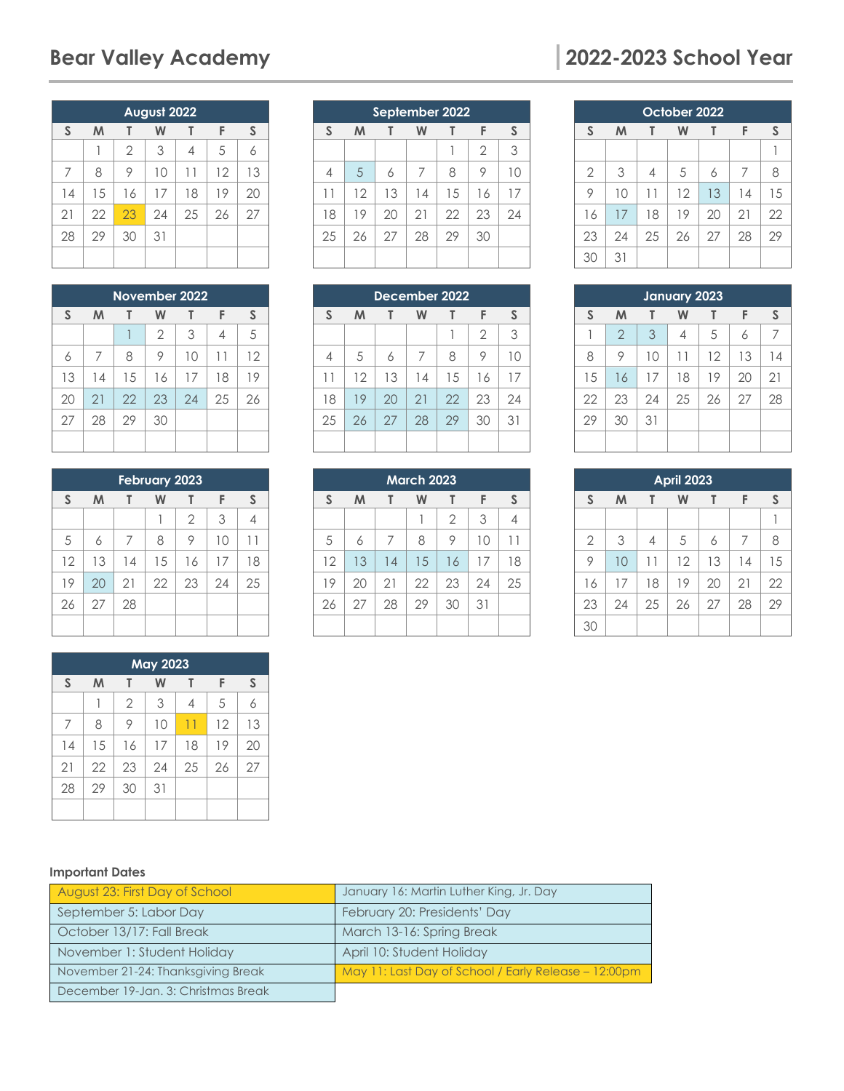|                | August 2022 |                |    |    |    |    |  |  |
|----------------|-------------|----------------|----|----|----|----|--|--|
| S              | M           |                | W  |    | F  | S  |  |  |
|                |             | $\overline{2}$ | 3  | 4  | 5  | 6  |  |  |
| $\overline{7}$ | 8           | 9              | 10 | 11 | 12 | 13 |  |  |
| 14             | 15          | 16             | 17 | 18 | 19 | 20 |  |  |
| 21             | 22          | 23             | 24 | 25 | 26 | 27 |  |  |
| 28             | 29          | 30             | 31 |    |    |    |  |  |
|                |             |                |    |    |    |    |  |  |

| November 2022 |    |    |                |    |    |    |
|---------------|----|----|----------------|----|----|----|
| S             | M  |    | W              |    | F  | S  |
|               |    |    | $\overline{2}$ | 3  | 4  | 5  |
| 6             | 7  | 8  | 9              | 10 | 11 | 12 |
| 13            | 14 | 15 | 16             | 17 | 18 | 19 |
| 20            | 21 | 22 | 23             | 24 | 25 | 26 |
| 27            | 28 | 29 | 30             |    |    |    |
|               |    |    |                |    |    |    |

| <b>February 2023</b> |    |    |    |                |    |    |  |
|----------------------|----|----|----|----------------|----|----|--|
| S                    | M  |    | W  |                | F  | S  |  |
|                      |    |    |    | $\overline{2}$ | 3  | 4  |  |
| 5                    | 6  | 7  | 8  | 9              | 10 | H  |  |
| 12                   | 13 | 14 | 15 | 16             | 17 | 18 |  |
| 19                   | 20 | 21 | 22 | 23             | 24 | 25 |  |
| 26                   | 27 | 28 |    |                |    |    |  |
|                      |    |    |    |                |    |    |  |

| <b>May 2023</b> |    |                |    |                 |    |    |
|-----------------|----|----------------|----|-----------------|----|----|
| S               | M  |                | W  | т               | F  | S  |
|                 |    | $\overline{2}$ | 3  | 4               | 5  | 6  |
| 7               | 8  | 9              | 10 | $\overline{11}$ | 12 | 13 |
| 14              | 15 | 16             | 17 | 18              | 19 | 20 |
| 21              | 22 | 23             | 24 | 25              | 26 | 27 |
| 28              | 29 | 30             | 31 |                 |    |    |
|                 |    |                |    |                 |    |    |

## **September 2022 S M T W T F S**  $1 \mid 2 \mid 3$ 4 5 6 7 8 9 10 12 13 14 15 16 17 19 20 21 22 23 24 25 26 27 28 29 30

| December 2022 |    |    |    |    |                |    |
|---------------|----|----|----|----|----------------|----|
| S             | M  |    | W  | T  | F              | S  |
|               |    |    |    |    | $\overline{2}$ | 3  |
| 4             | 5  | 6  | 7  | 8  | 9              | 10 |
| 11            | 12 | 13 | 14 | 15 | 16             | 17 |
| 18            | 19 | 20 | 21 | 22 | 23             | 24 |
| 25            | 26 | 27 | 28 | 29 | 30             | 31 |
|               |    |    |    |    |                |    |

| <b>March 2023</b> |    |    |    |                |    |    |  |
|-------------------|----|----|----|----------------|----|----|--|
| S                 | M  |    | W  | T              | F  | S  |  |
|                   |    |    |    | $\overline{2}$ | 3  | 4  |  |
| 5                 | 6  | 7  | 8  | 9              | 10 | -1 |  |
| 12                | 13 | 14 | 15 | 16             | 17 | 18 |  |
| 19                | 20 | 21 | 22 | 23             | 24 | 25 |  |
| 26                | 27 | 28 | 29 | 30             | 31 |    |  |
|                   |    |    |    |                |    |    |  |

# **Bear Valley Academy 2022-2023 School Year**

| October 2022   |    |    |    |    |    |    |  |
|----------------|----|----|----|----|----|----|--|
| S              | M  |    | W  |    | F  | S  |  |
|                |    |    |    |    |    |    |  |
| $\overline{2}$ | 3  | 4  | 5  | 6  | 7  | 8  |  |
| 9              | 10 | 11 | 12 | 13 | 14 | 15 |  |
| 16             | 17 | 18 | 19 | 20 | 21 | 22 |  |
| 23             | 24 | 25 | 26 | 27 | 28 | 29 |  |
| 30             | 31 |    |    |    |    |    |  |

| January 2023 |                |    |    |    |    |    |
|--------------|----------------|----|----|----|----|----|
| S            | M              | T  | W  |    | F  | S  |
|              | $\overline{2}$ | 3  | 4  | 5  | 6  | 7  |
| 8            | 9              | 10 | 11 | 12 | 13 | 14 |
| 15           | 16             | 17 | 18 | 19 | 20 | 21 |
| 22           | 23             | 24 | 25 | 26 | 27 | 28 |
| 29           | 30             | 31 |    |    |    |    |
|              |                |    |    |    |    |    |

| <b>April 2023</b> |    |    |    |    |    |    |
|-------------------|----|----|----|----|----|----|
| $\mathsf{S}$      | M  |    | W  | Т  | F  | S  |
|                   |    |    |    |    |    |    |
| $\overline{2}$    | 3  | 4  | 5  | 6  | 7  | 8  |
| 9                 | 10 | 11 | 12 | 13 | 14 | 15 |
| 16                | 17 | 18 | 19 | 20 | 21 | 22 |
| 23                | 24 | 25 | 26 | 27 | 28 | 29 |
| 30                |    |    |    |    |    |    |

#### **Important Dates**

| August 23: First Day of School      | January 16: Martin Luther King, Jr. Day              |
|-------------------------------------|------------------------------------------------------|
| September 5: Labor Day              | February 20: Presidents' Day                         |
| October 13/17: Fall Break           | March 13-16: Spring Break                            |
| November 1: Student Holiday         | April 10: Student Holiday                            |
| November 21-24: Thanksgiving Break  | May 11: Last Day of School / Early Release – 12:00pm |
| December 19-Jan. 3: Christmas Break |                                                      |